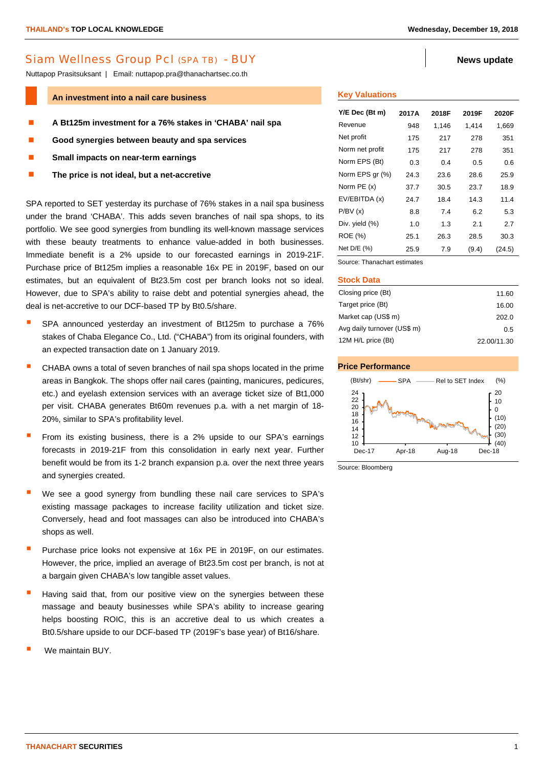# Siam Wellness Group Pcl (SPA TB) - BUY **News** update

Nuttapop Prasitsuksant | Email: nuttapop.pra@thanachartsec.co.th

#### **An investment into a nail care business**

- **A Bt125m investment for a 76% stakes in 'CHABA' nail spa**
- **Good synergies between beauty and spa services**
- **Small impacts on near-term earnings**
- **The price is not ideal, but a net-accretive**

SPA reported to SET yesterday its purchase of 76% stakes in a nail spa business under the brand 'CHABA'. This adds seven branches of nail spa shops, to its portfolio. We see good synergies from bundling its well-known massage services with these beauty treatments to enhance value-added in both businesses. Immediate benefit is a 2% upside to our forecasted earnings in 2019-21F. Purchase price of Bt125m implies a reasonable 16x PE in 2019F, based on our estimates, but an equivalent of Bt23.5m cost per branch looks not so ideal. However, due to SPA's ability to raise debt and potential synergies ahead, the deal is net-accretive to our DCF-based TP by Bt0.5/share.

- SPA announced yesterday an investment of Bt125m to purchase a 76% stakes of Chaba Elegance Co., Ltd. ("CHABA") from its original founders, with an expected transaction date on 1 January 2019.
- CHABA owns a total of seven branches of nail spa shops located in the prime areas in Bangkok. The shops offer nail cares (painting, manicures, pedicures, etc.) and eyelash extension services with an average ticket size of Bt1,000 per visit. CHABA generates Bt60m revenues p.a. with a net margin of 18- 20%, similar to SPA's profitability level.
- From its existing business, there is a 2% upside to our SPA's earnings forecasts in 2019-21F from this consolidation in early next year. Further benefit would be from its 1-2 branch expansion p.a. over the next three years and synergies created.
- We see a good synergy from bundling these nail care services to SPA's existing massage packages to increase facility utilization and ticket size. Conversely, head and foot massages can also be introduced into CHABA's shops as well.
- Purchase price looks not expensive at 16x PE in 2019F, on our estimates. However, the price, implied an average of Bt23.5m cost per branch, is not at a bargain given CHABA's low tangible asset values.
- Having said that, from our positive view on the synergies between these massage and beauty businesses while SPA's ability to increase gearing helps boosting ROIC, this is an accretive deal to us which creates a Bt0.5/share upside to our DCF-based TP (2019F's base year) of Bt16/share.
- We maintain BUY.

## **Key Valuations**

| Y/E Dec (Bt m)  | 2017A | 2018F | 2019F | 2020F  |
|-----------------|-------|-------|-------|--------|
| Revenue         | 948   | 1,146 | 1,414 | 1,669  |
| Net profit      | 175   | 217   | 278   | 351    |
| Norm net profit | 175   | 217   | 278   | 351    |
| Norm EPS (Bt)   | 0.3   | 0.4   | 0.5   | 0.6    |
| Norm EPS gr (%) | 24.3  | 23.6  | 28.6  | 25.9   |
| Norm $PE(x)$    | 37.7  | 30.5  | 23.7  | 18.9   |
| EV/EBITDA (x)   | 24.7  | 18.4  | 14.3  | 11.4   |
| P/BV(x)         | 8.8   | 7.4   | 6.2   | 5.3    |
| Div. yield (%)  | 1.0   | 1.3   | 2.1   | 2.7    |
| <b>ROE</b> (%)  | 25.1  | 26.3  | 28.5  | 30.3   |
| Net D/E (%)     | 25.9  | 7.9   | (9.4) | (24.5) |

Source: Thanachart estimates

#### **Stock Data**

| Closing price (Bt)          | 11.60       |
|-----------------------------|-------------|
| Target price (Bt)           | 16.00       |
| Market cap (US\$ m)         | 202.0       |
| Avg daily turnover (US\$ m) | 0.5         |
| 12M H/L price (Bt)          | 22.00/11.30 |



Source: Bloomberg